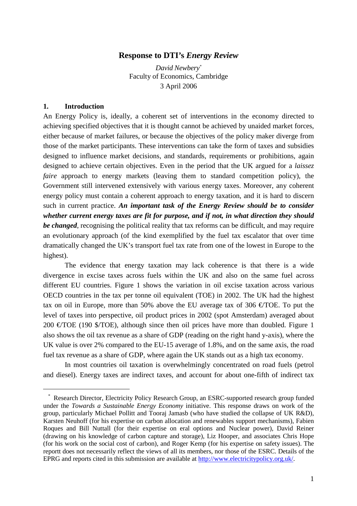## **Response to DTI's** *Energy Review*

*David Newbery\** Faculty of Economics, Cambridge 3 April 2006

## **1. Introduction**

 $\overline{a}$ 

An Energy Policy is, ideally, a coherent set of interventions in the economy directed to achieving specified objectives that it is thought cannot be achieved by unaided market forces, either because of market failures, or because the objectives of the policy maker diverge from those of the market participants. These interventions can take the form of taxes and subsidies designed to influence market decisions, and standards, requirements or prohibitions, again designed to achieve certain objectives. Even in the period that the UK argued for a *laissez faire* approach to energy markets (leaving them to standard competition policy), the Government still intervened extensively with various energy taxes. Moreover, any coherent energy policy must contain a coherent approach to energy taxation, and it is hard to discern such in current practice. *An important task of the Energy Review should be to consider whether current energy taxes are fit for purpose, and if not, in what direction they should be changed*, recognising the political reality that tax reforms can be difficult, and may require an evolutionary approach (of the kind exemplified by the fuel tax escalator that over time dramatically changed the UK's transport fuel tax rate from one of the lowest in Europe to the highest).

The evidence that energy taxation may lack coherence is that there is a wide divergence in excise taxes across fuels within the UK and also on the same fuel across different EU countries. Figure 1 shows the variation in oil excise taxation across various OECD countries in the tax per tonne oil equivalent (TOE) in 2002. The UK had the highest tax on oil in Europe, more than 50% above the EU average tax of 306  $\epsilon$ /TOE. To put the level of taxes into perspective, oil product prices in 2002 (spot Amsterdam) averaged about 200  $\epsilon$ /TOE (190 \$/TOE), although since then oil prices have more than doubled. Figure 1 also shows the oil tax revenue as a share of GDP (reading on the right hand y-axis), where the UK value is over 2% compared to the EU-15 average of 1.8%, and on the same axis, the road fuel tax revenue as a share of GDP, where again the UK stands out as a high tax economy.

In most countries oil taxation is overwhelmingly concentrated on road fuels (petrol and diesel). Energy taxes are indirect taxes, and account for about one-fifth of indirect tax

 <sup>\*</sup> Research Director, Electricity Policy Research Group, an ESRC-supported research group funded under the *Towards a Sustainable Energy Economy* initiative. This response draws on work of the group, particularly Michael Pollitt and Tooraj Jamasb (who have studied the collapse of UK R&D), Karsten Neuhoff (for his expertise on carbon allocation and renewables support mechanisms), Fabien Roques and Bill Nuttall (for their expertise on eral options and Nuclear power), David Reiner (drawing on his knowledge of carbon capture and storage), Liz Hooper, and associates Chris Hope (for his work on the social cost of carbon), and Roger Kemp (for his expertise on safety issues). The reportt does not necessarily reflect the views of all its members, nor those of the ESRC. Details of the EPRG and reports cited in this submission are available at http://www.electricitypolicy.org.uk/.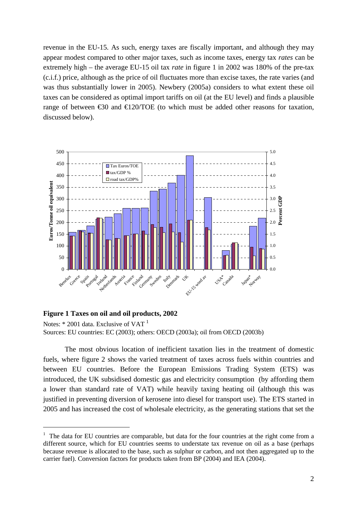revenue in the EU-15. As such, energy taxes are fiscally important, and although they may appear modest compared to other major taxes, such as income taxes, energy tax *rates* can be extremely high – the average EU-15 oil tax *rate* in figure 1 in 2002 was 180% of the pre-tax (c.i.f.) price, although as the price of oil fluctuates more than excise taxes, the rate varies (and was thus substantially lower in 2005). Newbery (2005a) considers to what extent these oil taxes can be considered as optimal import tariffs on oil (at the EU level) and finds a plausible range of between  $\epsilon$ 30 and  $\epsilon$ 120/TOE (to which must be dded other reasons for taxation, discussed below).



## **Figure 1 Taxes on oil and oil products, 2002**

 $\overline{a}$ 

Notes: \* 2001 data. Exclusive of VAT <sup>1</sup> Sources: EU countries: EC (2003); others: OECD (2003a); oil from OECD (2003b)

The most obvious location of inefficient taxation lies in the treatment of domestic fuels, where figure 2 shows the varied treatment of taxes across fuels within countries and between EU countries. Before the European Emissions Trading System (ETS) was introduced, the UK subsidised domestic gas and electricity consumption (by affording them a lower than standard rate of VAT) while heavily taxing heating oil (although this was justified in preventing diversion of kerosene into diesel for transport use). The ETS started in 2005 and has increased the cost of wholesale electricity, as the generating stations that set the

<sup>&</sup>lt;sup>1</sup> The data for EU countries are comparable, but data for the four countries at the right come from a different source, which for EU countries seems to understate tax revenue on oil as a base (perhaps because revenue is allocated to the base, such as sulphur or carbon, and not then aggregated up to the carrier fuel). Conversion factors for products taken from BP (2004) and IEA (2004).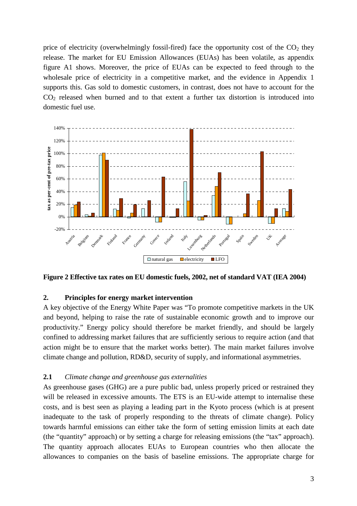price of electricity (overwhelmingly fossil-fired) face the opportunity cost of the  $CO<sub>2</sub>$  they release. The market for EU Emission Allowances (EUAs) has been volatile, as appendix figure A1 shows. Moreover, the price of EUAs can be expected to feed through to the wholesale price of electricity in a competitive market, and the evidence in Appendix 1 supports this. Gas sold to domestic customers, in contrast, does not have to account for the  $CO<sub>2</sub>$  released when burned and to that extent a further tax distortion is introduced into domestic fuel use.



**Figure 2 Effective tax rates on EU domestic fuels, 2002, net of standard VAT (IEA 2004)**

## **2. Principles for energy market intervention**

A key objective of the Energy White Paper was "To promote competitive markets in the UK and beyond, helping to raise the rate of sustainable economic growth and to improve our productivity." Energy policy should therefore be market friendly, and should be largely confined to addressing market failures that are sufficiently serious to require action (and that action might be to ensure that the market works better). The main market failures involve climate change and pollution, RD&D, security of supply, and informational asymmetries.

## **2.1** *Climate change and greenhouse gas externalities*

As greenhouse gases (GHG) are a pure public bad, unless properly priced or restrained they will be released in excessive amounts. The ETS is an EU-wide attempt to internalise these costs, and is best seen as playing a leading part in the Kyoto process (which is at present inadequate to the task of properly responding to the threats of climate change). Policy towards harmful emissions can either take the form of setting emission limits at each date (the "quantity" approach) or by setting a charge for releasing emissions (the "tax" approach). The quantity approach allocates EUAs to European countries who then allocate the allowances to companies on the basis of baseline emissions. The appropriate charge for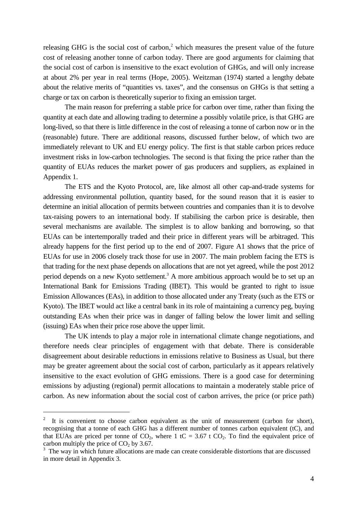releasing GHG is the social cost of carbon,<sup>2</sup> which measures the present value of the future cost of releasing another tonne of carbon today. There are good arguments for claiming that the social cost of carbon is insensitive to the exact evolution of GHGs, and will only increase at about 2% per year in real terms (Hope, 2005). Weitzman (1974) started a lengthy debate about the relative merits of "quantities vs. taxes", and the consensus on GHGs is that setting a charge or tax on carbon is theoretically superior to fixing an emission target.

The main reason for preferring a stable price for carbon over time, rather than fixing the quantity at each date and allowing trading to determine a possibly volatile price, is that GHG are long-lived, so that there is little difference in the cost of releasing a tonne of carbon now or in the (reasonable) future. There are additional reasons, discussed further below, of which two are immediately relevant to UK and EU energy policy. The first is that stable carbon prices reduce investment risks in low-carbon technologies. The second is that fixing the price rather than the quantity of EUAs reduces the market power of gas producers and suppliers, as explained in Appendix 1.

The ETS and the Kyoto Protocol, are, like almost all other cap-and-trade systems for addressing environmental pollution, quantity based, for the sound reason that it is easier to determine an initial allocation of permits between countries and companies than it is to devolve tax-raising powers to an international body. If stabilising the carbon price is desirable, then several mechanisms are available. The simplest is to allow banking and borrowing, so that EUAs can be intertemporally traded and their price in different years will be arbitraged. This already happens for the first period up to the end of 2007. Figure A1 shows that the price of EUAs for use in 2006 closely track those for use in 2007. The main problem facing the ETS is that trading for the next phase depends on allocations that are not yet agreed, while the post 2012 period depends on a new Kyoto settlement.<sup>3</sup> A more ambitious approach would be to set up an International Bank for Emissions Trading (IBET). This would be granted to right to issue Emission Allowances (EAs), in addition to those allocated under any Treaty (such as the ETS or Kyoto). The IBET would act like a central bank in its role of maintaining a currency peg, buying outstanding EAs when their price was in danger of falling below the lower limit and selling (issuing) EAs when their price rose above the upper limit.

The UK intends to play a major role in international climate change negotiations, and therefore needs clear principles of engagement with that debate. There is considerable disagreement about desirable reductions in emissions relative to Business as Usual, but there may be greater agreement about the social cost of carbon, particularly as it appears relatively insensitive to the exact evolution of GHG emissions. There is a good case for determining emissions by adjusting (regional) permit allocations to maintain a moderately stable price of carbon. As new information about the social cost of carbon arrives, the price (or price path)

<sup>2</sup> It is convenient to choose carbon equivalent as the unit of measurement (carbon for short), recognising that a tonne of each GHG has a different number of tonnes carbon equivalent (tC), and that EUAs are priced per tonne of  $CO_2$ , where 1 tC = 3.67 t  $CO_2$ . To find the equivalent price of carbon multiply the price of  $CO<sub>2</sub>$  by 3.67.

<sup>&</sup>lt;sup>3</sup> The way in which future allocations are made can create considerable distortions that are discussed in more detail in Appendix 3.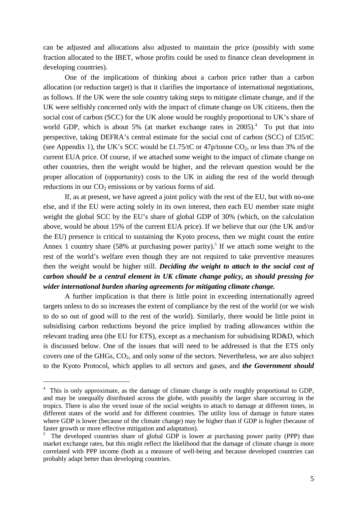can be adjusted and allocations also adjusted to maintain the price (possibly with some fraction allocated to the IBET, whose profits could be used to finance clean development in developing countries).

One of the implications of thinking about a carbon price rather than a carbon allocation (or reduction target) is that it clarifies the importance of international negotiations, as follows. If the UK were the sole country taking steps to mitigate climate change, and if the UK were selfishly concerned only with the impact of climate change on UK citizens, then the social cost of carbon (SCC) for the UK alone would be roughly proportional to UK's share of world GDP, which is about 5% (at market exchange rates in 2005).<sup>4</sup> To put that into perspective, taking DEFRA's central estimate for the social cost of carbon (SCC) of £35/tC (see Appendix 1), the UK's SCC would be £1.75/tC or  $47p$ /tonne CO<sub>2</sub>, or less than 3% of the current EUA price. Of course, if we attached some weight to the impact of climate change on other countries, then the weight would be higher, and the relevant question would be the proper allocation of (opportunity) costs to the UK in aiding the rest of the world through reductions in our  $CO<sub>2</sub>$  emissions or by various forms of aid.

If, as at present, we have agreed a joint policy with the rest of the EU, but with no-one else, and if the EU were acting solely in its own interest, then each EU member state might weight the global SCC by the EU's share of global GDP of 30% (which, on the calculation above, would be about 15% of the current EUA price). If we believe that our (the UK and/or the EU) presence is critical to sustaining the Kyoto process, then we might count the entire Annex 1 country share  $(58\%$  at purchasing power parity).<sup>5</sup> If we attach some weight to the rest of the world's welfare even though they are not required to take preventive measures then the weight would be higher still. *Deciding the weight to attach to the social cost of carbon should be a central element in UK climate change policy, as should pressing for wider international burden sharing agreements for mitigating climate change.*

A further implication is that there is little point in exceeding internationally agreed targets unless to do so increases the extent of compliance by the rest of the world (or we wish to do so out of good will to the rest of the world). Similarly, there would be little point in subsidising carbon reductions beyond the price implied by trading allowances within the relevant trading area (the EU for ETS), except as a mechanism for subsidising RD&D, which is discussed below. One of the issues that will need to be addressed is that the ETS only covers one of the GHGs, CO2, and only some of the sectors. Nevertheless, we are also subject to the Kyoto Protocol, which applies to all sectors and gases, and *the Government should*

<sup>&</sup>lt;sup>4</sup> This is only approximate, as the damage of climate change is only roughly proportional to GDP, and may be unequally distributed across the globe, with possibly the larger share occurring in the tropics. There is also the vexed issue of the social weights to attach to damage at different times, in different states of the world and for different countries. The utility loss of damage in future states where GDP is lower (because of the climate change) may be higher than if GDP is higher (because of faster growth or more effective mitigation and adaptation).

<sup>5</sup> The developed countries share of global GDP is lower at purchasing power parity (PPP) than market exchange rates, but this might reflect the likelihood that the damage of climate change is more correlated with PPP income (both as a measure of well-being and because developed countries can probably adapt better than developing countries.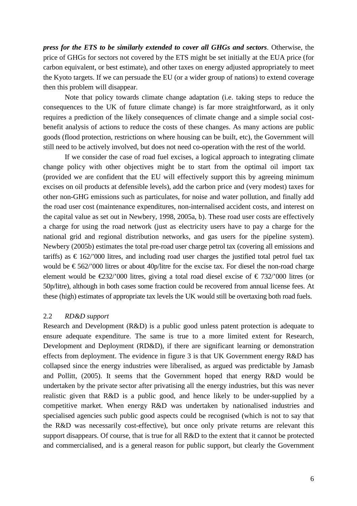*press for the ETS to be similarly extended to cover all GHGs and sectors*. Otherwise, the price of GHGs for sectors not covered by the ETS might be set initially at the EUA price (for carbon equivalent, or best estimate), and other taxes on energy adjusted appropriately to meet the Kyoto targets. If we can persuade the EU (or a wider group of nations) to extend coverage then this problem will disappear.

Note that policy towards climate change adaptation (i.e. taking steps to reduce the consequences to the UK of future climate change) is far more straightforward, as it only requires a prediction of the likely consequences of climate change and a simple social costbenefit analysis of actions to reduce the costs of these changes. As many actions are public goods (flood protection, restrictions on where housing can be built, etc), the Government will still need to be actively involved, but does not need co-operation with the rest of the world.

If we consider the case of road fuel excises, a logical approach to integrating climate change policy with other objectives might be to start from the optimal oil import tax (provided we are confident that the EU will effectively support this by agreeing minimum excises on oil products at defensible levels), add the carbon price and (very modest) taxes for other non-GHG emissions such as particulates, for noise and water pollution, and finally add the road user cost (maintenance expenditures, non-internalised accident costs, and interest on the capital value as set out in Newbery, 1998, 2005a, b). These road user costs are effectively a charge for using the road network (just as electricity users have to pay a charge for the national grid and regional distribution networks, and gas users for the pipeline system). Newbery (2005b) estimates the total pre-road user charge petrol tax (covering all emissions and tariffs) as  $\epsilon$  162/'000 litres, and including road user charges the justified total petrol fuel tax would be  $\epsilon$  562/'000 litres or about 40p/litre for the excise tax. For diesel the non-road charge element would be  $\epsilon$ 232/'000 litres, giving a total road diesel excise of  $\epsilon$  732/'000 litres (or 50p/litre), although in both cases some fraction could be recovered from annual license fees. At these (high) estimates of appropriate tax levels the UK would still be overtaxing both road fuels.

### 2.2 *RD&D support*

Research and Development (R&D) is a public good unless patent protection is adequate to ensure adequate expenditure. The same is true to a more limited extent for Research, Development and Deployment (RD&D), if there are significant learning or demonstration effects from deployment. The evidence in figure 3 is that UK Government energy R&D has collapsed since the energy industries were liberalised, as argued was predictable by Jamasb and Pollitt, (2005). It seems that the Government hoped that energy R&D would be undertaken by the private sector after privatising all the energy industries, but this was never realistic given that R&D is a public good, and hence likely to be under-supplied by a competitive market. When energy R&D was undertaken by nationalised industries and specialised agencies such public good aspects could be recognised (which is not to say that the R&D was necessarily cost-effective), but once only private returns are relevant this support disappears. Of course, that is true for all R&D to the extent that it cannot be protected and commercialised, and is a general reason for public support, but clearly the Government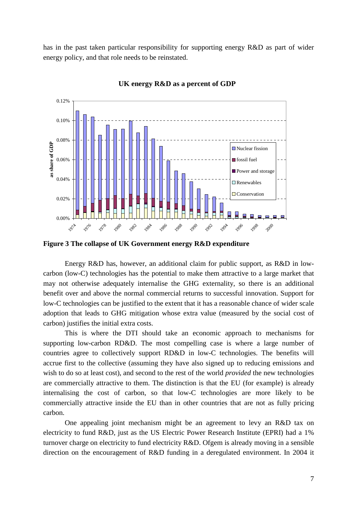has in the past taken particular responsibility for supporting energy R&D as part of wider energy policy, and that role needs to be reinstated.



**UK energy R&D as a percent of GDP**

**Figure 3 The collapse of UK Government energy R&D expenditure**

Energy R&D has, however, an additional claim for public support, as R&D in lowcarbon (low-C) technologies has the potential to make them attractive to a large market that may not otherwise adequately internalise the GHG externality, so there is an additional benefit over and above the normal commercial returns to successful innovation. Support for low-C technologies can be justified to the extent that it has a reasonable chance of wider scale adoption that leads to GHG mitigation whose extra value (measured by the social cost of carbon) justifies the initial extra costs.

This is where the DTI should take an economic approach to mechanisms for supporting low-carbon RD&D. The most compelling case is where a large number of countries agree to collectively support RD&D in low-C technologies. The benefits will accrue first to the collective (assuming they have also signed up to reducing emissions and wish to do so at least cost), and second to the rest of the world *provided* the new technologies are commercially attractive to them. The distinction is that the EU (for example) is already internalising the cost of carbon, so that low-C technologies are more likely to be commercially attractive inside the EU than in other countries that are not as fully pricing carbon.

One appealing joint mechanism might be an agreement to levy an R&D tax on electricity to fund R&D, just as the US Electric Power Research Institute (EPRI) had a 1% turnover charge on electricity to fund electricity R&D. Ofgem is already moving in a sensible direction on the encouragement of R&D funding in a deregulated environment. In 2004 it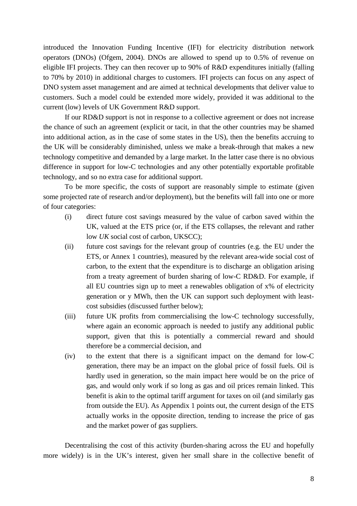introduced the Innovation Funding Incentive (IFI) for electricity distribution network operators (DNOs) (Ofgem, 2004). DNOs are allowed to spend up to 0.5% of revenue on eligible IFI projects. They can then recover up to 90% of R&D expenditures initially (falling to 70% by 2010) in additional charges to customers. IFI projects can focus on any aspect of DNO system asset management and are aimed at technical developments that deliver value to customers. Such a model could be extended more widely, provided it was additional to the current (low) levels of UK Government R&D support.

If our RD&D support is not in response to a collective agreement or does not increase the chance of such an agreement (explicit or tacit, in that the other countries may be shamed into additional action, as in the case of some states in the US), then the benefits accruing to the UK will be considerably diminished, unless we make a break-through that makes a new technology competitive and demanded by a large market. In the latter case there is no obvious difference in support for low-C technologies and any other potentially exportable profitable technology, and so no extra case for additional support.

To be more specific, the costs of support are reasonably simple to estimate (given some projected rate of research and/or deployment), but the benefits will fall into one or more of four categories:

- (i) direct future cost savings measured by the value of carbon saved within the UK, valued at the ETS price (or, if the ETS collapses, the relevant and rather low *UK* social cost of carbon, UKSCC);
- (ii) future cost savings for the relevant group of countries (e.g. the EU under the ETS, or Annex 1 countries), measured by the relevant area-wide social cost of carbon, to the extent that the expenditure is to discharge an obligation arising from a treaty agreement of burden sharing of low-C RD&D. For example, if all EU countries sign up to meet a renewables obligation of x% of electricity generation or y MWh, then the UK can support such deployment with leastcost subsidies (discussed further below);
- (iii) future UK profits from commercialising the low-C technology successfully, where again an economic approach is needed to justify any additional public support, given that this is potentially a commercial reward and should therefore be a commercial decision, and
- (iv) to the extent that there is a significant impact on the demand for low-C generation, there may be an impact on the global price of fossil fuels. Oil is hardly used in generation, so the main impact here would be on the price of gas, and would only work if so long as gas and oil prices remain linked. This benefit is akin to the optimal tariff argument for taxes on oil (and similarly gas from outside the EU). As Appendix 1 points out, the current design of the ETS actually works in the opposite direction, tending to increase the price of gas and the market power of gas suppliers.

Decentralising the cost of this activity (burden-sharing across the EU and hopefully more widely) is in the UK's interest, given her small share in the collective benefit of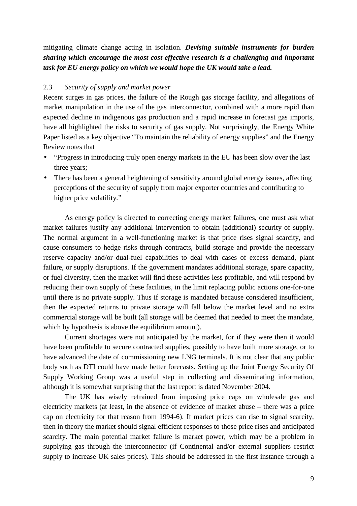mitigating climate change acting in isolation. *Devising suitable instruments for burden sharing which encourage the most cost-effective research is a challenging and important task for EU energy policy on which we would hope the UK would take a lead.*

## 2.3 *Security of supply and market power*

Recent surges in gas prices, the failure of the Rough gas storage facility, and allegations of market manipulation in the use of the gas interconnector, combined with a more rapid than expected decline in indigenous gas production and a rapid increase in forecast gas imports, have all highlighted the risks to security of gas supply. Not surprisingly, the Energy White Paper listed as a key objective "To maintain the reliability of energy supplies" and the Energy Review notes that

- "Progress in introducing truly open energy markets in the EU has been slow over the last three years;
- There has been a general heightening of sensitivity around global energy issues, affecting perceptions of the security of supply from major exporter countries and contributing to higher price volatility."

As energy policy is directed to correcting energy market failures, one must ask what market failures justify any additional intervention to obtain (additional) security of supply. The normal argument in a well-functioning market is that price rises signal scarcity, and cause consumers to hedge risks through contracts, build storage and provide the necessary reserve capacity and/or dual-fuel capabilities to deal with cases of excess demand, plant failure, or supply disruptions. If the government mandates additional storage, spare capacity, or fuel diversity, then the market will find these activities less profitable, and will respond by reducing their own supply of these facilities, in the limit replacing public actions one-for-one until there is no private supply. Thus if storage is mandated because considered insufficient, then the expected returns to private storage will fall below the market level and no extra commercial storage will be built (all storage will be deemed that needed to meet the mandate, which by hypothesis is above the equilibrium amount).

Current shortages were not anticipated by the market, for if they were then it would have been profitable to secure contracted supplies, possibly to have built more storage, or to have advanced the date of commissioning new LNG terminals. It is not clear that any public body such as DTI could have made better forecasts. Setting up the Joint Energy Security Of Supply Working Group was a useful step in collecting and disseminating information, although it is somewhat surprising that the last report is dated November 2004.

The UK has wisely refrained from imposing price caps on wholesale gas and electricity markets (at least, in the absence of evidence of market abuse – there was a price cap on electricity for that reason from 1994-6). If market prices can rise to signal scarcity, then in theory the market should signal efficient responses to those price rises and anticipated scarcity. The main potential market failure is market power, which may be a problem in supplying gas through the interconnector (if Continental and/or external suppliers restrict supply to increase UK sales prices). This should be addressed in the first instance through a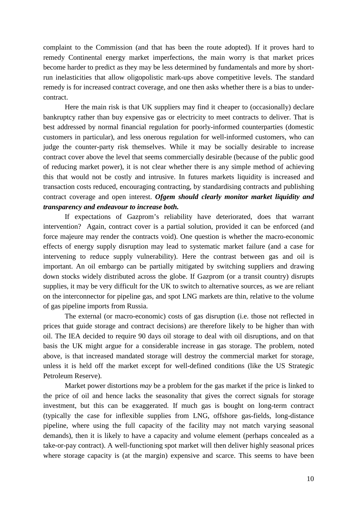complaint to the Commission (and that has been the route adopted). If it proves hard to remedy Continental energy market imperfections, the main worry is that market prices become harder to predict as they may be less determined by fundamentals and more by shortrun inelasticities that allow oligopolistic mark-ups above competitive levels. The standard remedy is for increased contract coverage, and one then asks whether there is a bias to undercontract.

Here the main risk is that UK suppliers may find it cheaper to (occasionally) declare bankruptcy rather than buy expensive gas or electricity to meet contracts to deliver. That is best addressed by normal financial regulation for poorly-informed counterparties (domestic customers in particular), and less onerous regulation for well-informed customers, who can judge the counter-party risk themselves. While it may be socially desirable to increase contract cover above the level that seems commercially desirable (because of the public good of reducing market power), it is not clear whether there is any simple method of achieving this that would not be costly and intrusive. In futures markets liquidity is increased and transaction costs reduced, encouraging contracting, by standardising contracts and publishing contract coverage and open interest. *Ofgem should clearly monitor market liquidity and transparency and endeavour to increase both.*

If expectations of Gazprom's reliability have deteriorated, does that warrant intervention? Again, contract cover is a partial solution, provided it can be enforced (and force majeure may render the contracts void). One question is whether the macro-economic effects of energy supply disruption may lead to systematic market failure (and a case for intervening to reduce supply vulnerability). Here the contrast between gas and oil is important. An oil embargo can be partially mitigated by switching suppliers and drawing down stocks widely distributed across the globe. If Gazprom (or a transit country) disrupts supplies, it may be very difficult for the UK to switch to alternative sources, as we are reliant on the interconnector for pipeline gas, and spot LNG markets are thin, relative to the volume of gas pipeline imports from Russia.

The external (or macro-economic) costs of gas disruption (i.e. those not reflected in prices that guide storage and contract decisions) are therefore likely to be higher than with oil. The IEA decided to require 90 days oil storage to deal with oil disruptions, and on that basis the UK might argue for a considerable increase in gas storage. The problem, noted above, is that increased mandated storage will destroy the commercial market for storage, unless it is held off the market except for well-defined conditions (like the US Strategic Petroleum Reserve).

Market power distortions *may* be a problem for the gas market if the price is linked to the price of oil and hence lacks the seasonality that gives the correct signals for storage investment, but this can be exaggerated. If much gas is bought on long-term contract (typically the case for inflexible supplies from LNG, offshore gas-fields, long-distance pipeline, where using the full capacity of the facility may not match varying seasonal demands), then it is likely to have a capacity and volume element (perhaps concealed as a take-or-pay contract). A well-functioning spot market will then deliver highly seasonal prices where storage capacity is (at the margin) expensive and scarce. This seems to have been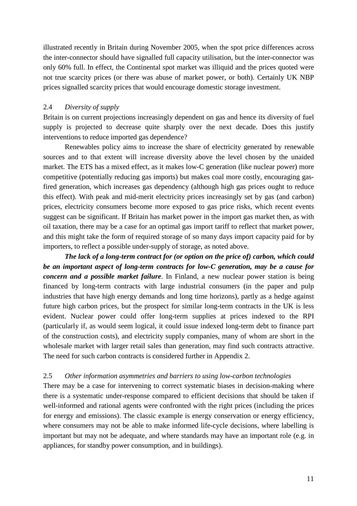illustrated recently in Britain during November 2005, when the spot price differences across the inter-connector should have signalled full capacity utilisation, but the inter-connector was only 60% full. In effect, the Continental spot market was illiquid and the prices quoted were not true scarcity prices (or there was abuse of market power, or both). Certainly UK NBP prices signalled scarcity prices that would encourage domestic storage investment.

## 2.4 *Diversity of supply*

Britain is on current projections increasingly dependent on gas and hence its diversity of fuel supply is projected to decrease quite sharply over the next decade. Does this justify interventions to reduce imported gas dependence?

Renewables policy aims to increase the share of electricity generated by renewable sources and to that extent will increase diversity above the level chosen by the unaided market. The ETS has a mixed effect, as it makes low-C generation (like nuclear power) more competitive (potentially reducing gas imports) but makes coal more costly, encouraging gasfired generation, which increases gas dependency (although high gas prices ought to reduce this effect). With peak and mid-merit electricity prices increasingly set by gas (and carbon) prices, electricity consumers become more exposed to gas price risks, which recent events suggest can be significant. If Britain has market power in the import gas market then, as with oil taxation, there may be a case for an optimal gas import tariff to reflect that market power, and this might take the form of required storage of so many days import capacity paid for by importers, to reflect a possible under-supply of storage, as noted above.

*The lack of a long-term contract for (or option on the price of) carbon, which could be an important aspect of long-term contracts for low-C generation, may be a cause for concern and a possible market failure*. In Finland, a new nuclear power station is being financed by long-term contracts with large industrial consumers (in the paper and pulp industries that have high energy demands and long time horizons), partly as a hedge against future high carbon prices, but the prospect for similar long-term contracts in the UK is less evident. Nuclear power could offer long-term supplies at prices indexed to the RPI (particularly if, as would seem logical, it could issue indexed long-term debt to finance part of the construction costs), and electricity supply companies, many of whom are short in the wholesale market with larger retail sales than generation, may find such contracts attractive. The need for such carbon contracts is considered further in Appendix 2.

### 2.5 *Other information asymmetries and barriers to using low-carbon technologies*

There may be a case for intervening to correct systematic biases in decision-making where there is a systematic under-response compared to efficient decisions that should be taken if well-informed and rational agents were confronted with the right prices (including the prices for energy and emissions). The classic example is energy conservation or energy efficiency, where consumers may not be able to make informed life-cycle decisions, where labelling is important but may not be adequate, and where standards may have an important role (e.g. in appliances, for standby power consumption, and in buildings).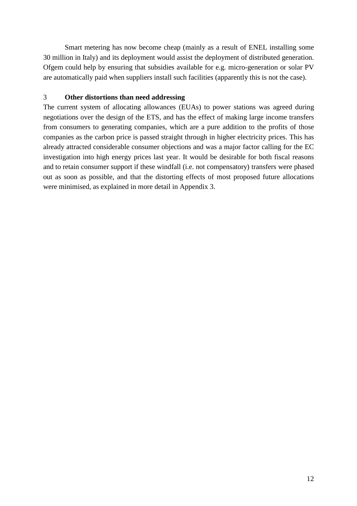Smart metering has now become cheap (mainly as a result of ENEL installing some 30 million in Italy) and its deployment would assist the deployment of distributed generation. Ofgem could help by ensuring that subsidies available for e.g. micro-generation or solar PV are automatically paid when suppliers install such facilities (apparently this is not the case).

## 3 **Other distortions than need addressing**

The current system of allocating allowances (EUAs) to power stations was agreed during negotiations over the design of the ETS, and has the effect of making large income transfers from consumers to generating companies, which are a pure addition to the profits of those companies as the carbon price is passed straight through in higher electricity prices. This has already attracted considerable consumer objections and was a major factor calling for the EC investigation into high energy prices last year. It would be desirable for both fiscal reasons and to retain consumer support if these windfall (i.e. not compensatory) transfers were phased out as soon as possible, and that the distorting effects of most proposed future allocations were minimised, as explained in more detail in Appendix 3.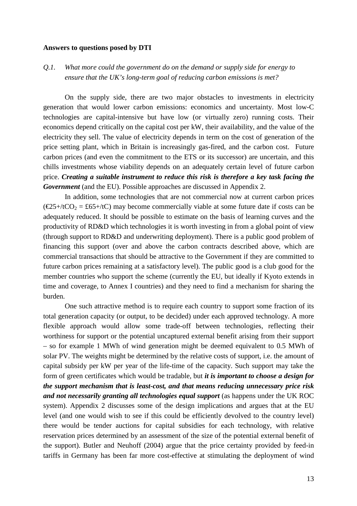#### **Answers to questions posed by DTI**

*Q.1. What more could the government do on the demand or supply side for energy to ensure that the UK's long-term goal of reducing carbon emissions is met?*

On the supply side, there are two major obstacles to investments in electricity generation that would lower carbon emissions: economics and uncertainty. Most low-C technologies are capital-intensive but have low (or virtually zero) running costs. Their economics depend critically on the capital cost per kW, their availability, and the value of the electricity they sell. The value of electricity depends in term on the cost of generation of the price setting plant, which in Britain is increasingly gas-fired, and the carbon cost. Future carbon prices (and even the commitment to the ETS or its successor) are uncertain, and this chills investments whose viability depends on an adequately certain level of future carbon price. *Creating a suitable instrument to reduce this risk is therefore a key task facing the Government* (and the EU). Possible approaches are discussed in Appendix 2.

In addition, some technologies that are not commercial now at current carbon prices  $(\text{\textsterling}25+\text{\textit{t}}\text{CO}) = \text{\textsterling}65+\text{\textit{t}}\text{C}$  may become commercially viable at some future date if costs can be adequately reduced. It should be possible to estimate on the basis of learning curves and the productivity of RD&D which technologies it is worth investing in from a global point of view (through support to RD&D and underwriting deployment). There is a public good problem of financing this support (over and above the carbon contracts described above, which are commercial transactions that should be attractive to the Government if they are committed to future carbon prices remaining at a satisfactory level). The public good is a club good for the member countries who support the scheme (currently the EU, but ideally if Kyoto extends in time and coverage, to Annex I countries) and they need to find a mechanism for sharing the burden.

One such attractive method is to require each country to support some fraction of its total generation capacity (or output, to be decided) under each approved technology. A more flexible approach would allow some trade-off between technologies, reflecting their worthiness for support or the potential uncaptured external benefit arising from their support – so for example 1 MWh of wind generation might be deemed equivalent to 0.5 MWh of solar PV. The weights might be determined by the relative costs of support, i.e. the amount of capital subsidy per kW per year of the life-time of the capacity. Such support may take the form of green certificates which would be tradable, but *it is important to choose a design for the support mechanism that is least-cost, and that means reducing unnecessary price risk and not necessarily granting all technologies equal support* (as happens under the UK ROC system). Appendix 2 discusses some of the design implications and argues that at the EU level (and one would wish to see if this could be efficiently devolved to the country level) there would be tender auctions for capital subsidies for each technology, with relative reservation prices determined by an assessment of the size of the potential external benefit of the support). Butler and Neuhoff (2004) argue that the price certainty provided by feed-in tariffs in Germany has been far more cost-effective at stimulating the deployment of wind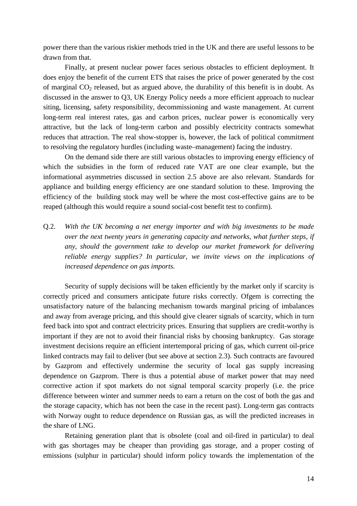power there than the various riskier methods tried in the UK and there are useful lessons to be drawn from that.

Finally, at present nuclear power faces serious obstacles to efficient deployment. It does enjoy the benefit of the current ETS that raises the price of power generated by the cost of marginal  $CO<sub>2</sub>$  released, but as argued above, the durability of this benefit is in doubt. As discussed in the answer to Q3, UK Energy Policy needs a more efficient approach to nuclear siting, licensing, safety responsibility, decommissioning and waste management. At current long-term real interest rates, gas and carbon prices, nuclear power is economically very attractive, but the lack of long-term carbon and possibly electricity contracts somewhat reduces that attraction. The real show-stopper is, however, the lack of political commitment to resolving the regulatory hurdles (including waste–management) facing the industry.

On the demand side there are still various obstacles to improving energy efficiency of which the subsidies in the form of reduced rate VAT are one clear example, but the informational asymmetries discussed in section 2.5 above are also relevant. Standards for appliance and building energy efficiency are one standard solution to these. Improving the efficiency of the building stock may well be where the most cost-effective gains are to be reaped (although this would require a sound social-cost benefit test to confirm).

Q.2. *With the UK becoming a net energy importer and with big investments to be made over the next twenty years in generating capacity and networks, what further steps, if any, should the government take to develop our market framework for delivering reliable energy supplies? In particular, we invite views on the implications of increased dependence on gas imports.*

Security of supply decisions will be taken efficiently by the market only if scarcity is correctly priced and consumers anticipate future risks correctly. Ofgem is correcting the unsatisfactory nature of the balancing mechanism towards marginal pricing of imbalances and away from average pricing, and this should give clearer signals of scarcity, which in turn feed back into spot and contract electricity prices. Ensuring that suppliers are credit-worthy is important if they are not to avoid their financial risks by choosing bankruptcy. Gas storage investment decisions require an efficient intertemporal pricing of gas, which current oil-price linked contracts may fail to deliver (but see above at section 2.3). Such contracts are favoured by Gazprom and effectively undermine the security of local gas supply increasing dependence on Gazprom. There is thus a potential abuse of market power that may need corrective action if spot markets do not signal temporal scarcity properly (i.e. the price difference between winter and summer needs to earn a return on the cost of both the gas and the storage capacity, which has not been the case in the recent past). Long-term gas contracts with Norway ought to reduce dependence on Russian gas, as will the predicted increases in the share of LNG.

Retaining generation plant that is obsolete (coal and oil-fired in particular) to deal with gas shortages may be cheaper than providing gas storage, and a proper costing of emissions (sulphur in particular) should inform policy towards the implementation of the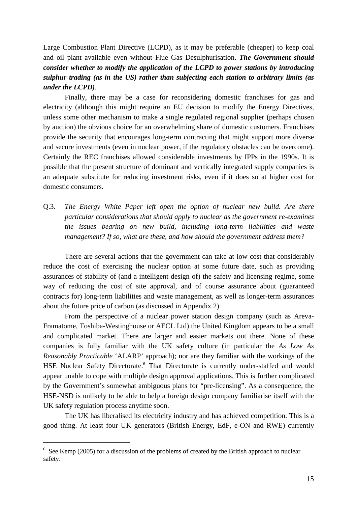Large Combustion Plant Directive (LCPD), as it may be preferable (cheaper) to keep coal and oil plant available even without Flue Gas Desulphurisation. *The Government should consider whether to modify the application of the LCPD to power stations by introducing sulphur trading (as in the US) rather than subjecting each station to arbitrary limits (as under the LCPD)*.

Finally, there may be a case for reconsidering domestic franchises for gas and electricity (although this might require an EU decision to modify the Energy Directives, unless some other mechanism to make a single regulated regional supplier (perhaps chosen by auction) the obvious choice for an overwhelming share of domestic customers. Franchises provide the security that encourages long-term contracting that might support more diverse and secure investments (even in nuclear power, if the regulatory obstacles can be overcome). Certainly the REC franchises allowed considerable investments by IPPs in the 1990s. It is possible that the present structure of dominant and vertically integrated supply companies is an adequate substitute for reducing investment risks, even if it does so at higher cost for domestic consumers.

Q.3. *The Energy White Paper left open the option of nuclear new build. Are there particular considerations that should apply to nuclear as the government re-examines the issues bearing on new build, including long-term liabilities and waste management? If so, what are these, and how should the government address them?*

There are several actions that the government can take at low cost that considerably reduce the cost of exercising the nuclear option at some future date, such as providing assurances of stability of (and a intelligent design of) the safety and licensing regime, some way of reducing the cost of site approval, and of course assurance about (guaranteed contracts for) long-term liabilities and waste management, as well as longer-term assurances about the future price of carbon (as discussed in Appendix 2).

From the perspective of a nuclear power station design company (such as Areva-Framatome, Toshiba-Westinghouse or AECL Ltd) the United Kingdom appears to be a small and complicated market. There are larger and easier markets out there. None of these companies is fully familiar with the UK safety culture (in particular the *As Low As Reasonably Practicable* 'ALARP' approach); nor are they familiar with the workings of the HSE Nuclear Safety Directorate.<sup>6</sup> That Directorate is currently under-staffed and would appear unable to cope with multiple design approval applications. This is further complicated by the Government's somewhat ambiguous plans for "pre-licensing". As a consequence, the HSE-NSD is unlikely to be able to help a foreign design company familiarise itself with the UK safety regulation process anytime soon.

The UK has liberalised its electricity industry and has achieved competition. This is a good thing. At least four UK generators (British Energy, EdF, e-ON and RWE) currently

<sup>&</sup>lt;sup>6</sup> See Kemp (2005) for a discussion of the problems of created by the British approach to nuclear safety.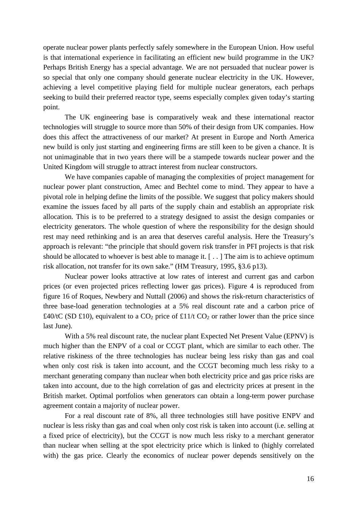operate nuclear power plants perfectly safely somewhere in the European Union. How useful is that international experience in facilitating an efficient new build programme in the UK? Perhaps British Energy has a special advantage. We are not persuaded that nuclear power is so special that only one company should generate nuclear electricity in the UK. However, achieving a level competitive playing field for multiple nuclear generators, each perhaps seeking to build their preferred reactor type, seems especially complex given today's starting point.

The UK engineering base is comparatively weak and these international reactor technologies will struggle to source more than 50% of their design from UK companies. How does this affect the attractiveness of our market? At present in Europe and North America new build is only just starting and engineering firms are still keen to be given a chance. It is not unimaginable that in two years there will be a stampede towards nuclear power and the United Kingdom will struggle to attract interest from nuclear constructors.

We have companies capable of managing the complexities of project management for nuclear power plant construction, Amec and Bechtel come to mind. They appear to have a pivotal role in helping define the limits of the possible. We suggest that policy makers should examine the issues faced by all parts of the supply chain and establish an appropriate risk allocation. This is to be preferred to a strategy designed to assist the design companies or electricity generators. The whole question of where the responsibility for the design should rest may need rethinking and is an area that deserves careful analysis. Here the Treasury's approach is relevant: "the principle that should govern risk transfer in PFI projects is that risk should be allocated to whoever is best able to manage it. [ . . ] The aim is to achieve optimum risk allocation, not transfer for its own sake." (HM Treasury, 1995, §3.6 p13).

Nuclear power looks attractive at low rates of interest and current gas and carbon prices (or even projected prices reflecting lower gas prices). Figure 4 is reproduced from figure 16 of Roques, Newbery and Nuttall (2006) and shows the risk-return characteristics of three base-load generation technologies at a 5% real discount rate and a carbon price of £40/tC (SD £10), equivalent to a  $CO_2$  price of £11/t  $CO_2$  or rather lower than the price since last June).

With a 5% real discount rate, the nuclear plant Expected Net Present Value (EPNV) is much higher than the ENPV of a coal or CCGT plant, which are similar to each other. The relative riskiness of the three technologies has nuclear being less risky than gas and coal when only cost risk is taken into account, and the CCGT becoming much less risky to a merchant generating company than nuclear when both electricity price and gas price risks are taken into account, due to the high correlation of gas and electricity prices at present in the British market. Optimal portfolios when generators can obtain a long-term power purchase agreement contain a majority of nuclear power.

For a real discount rate of 8%, all three technologies still have positive ENPV and nuclear is less risky than gas and coal when only cost risk is taken into account (i.e. selling at a fixed price of electricity), but the CCGT is now much less risky to a merchant generator than nuclear when selling at the spot electricity price which is linked to (highly correlated with) the gas price. Clearly the economics of nuclear power depends sensitively on the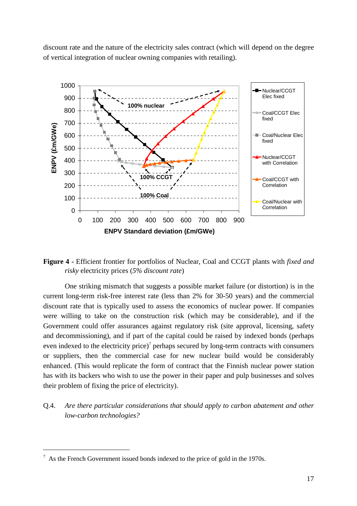discount rate and the nature of the electricity sales contract (which will depend on the degree of vertical integration of nuclear owning companies with retailing).



**Figure 4 -** Efficient frontier for portfolios of Nuclear, Coal and CCGT plants with *fixed and risky* electricity prices (*5% discount rate*)

One striking mismatch that suggests a possible market failure (or distortion) is in the current long-term risk-free interest rate (less than 2% for 30-50 years) and the commercial discount rate that is typically used to assess the economics of nuclear power. If companies were willing to take on the construction risk (which may be considerable), and if the Government could offer assurances against regulatory risk (site approval, licensing, safety and decommissioning), and if part of the capital could be raised by indexed bonds (perhaps even indexed to the electricity price)<sup>7</sup> perhaps secured by long-term contracts with consumers or suppliers, then the commercial case for new nuclear build would be considerably enhanced. (This would replicate the form of contract that the Finnish nuclear power station has with its backers who wish to use the power in their paper and pulp businesses and solves their problem of fixing the price of electricity).

Q.4. *Are there particular considerations that should apply to carbon abatement and other low-carbon technologies?*

 $<sup>7</sup>$  As the French Government issued bonds indexed to the price of gold in the 1970s.</sup>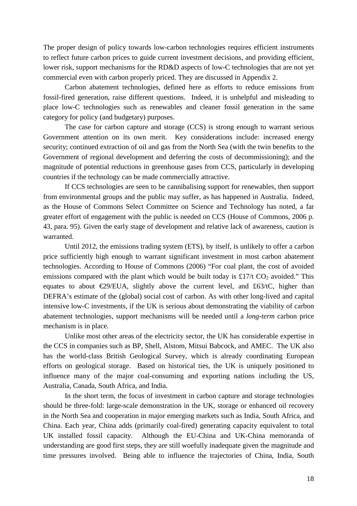The proper design of policy towards low-carbon technologies requires efficient instruments to reflect future carbon prices to guide current investment decisions, and providing efficient, lower risk, support mechanisms for the RD&D aspects of low-C technologies that are not yet commercial even with carbon properly priced. They are discussed in Appendix 2.

Carbon abatement technologies, defined here as efforts to reduce emissions from fossil-fired generation, raise different questions. Indeed, it is unhelpful and misleading to place low-C technologies such as renewables and cleaner fossil generation in the same category for policy (and budgetary) purposes.

The case for carbon capture and storage (CCS) is strong enough to warrant serious Government attention on its own merit. Key considerations include: increased energy security; continued extraction of oil and gas from the North Sea (with the twin benefits to the Government of regional development and deferring the costs of decommissioning); and the magnitude of potential reductions in greenhouse gases from CCS, particularly in developing countries if the technology can be made commercially attractive.

If CCS technologies are seen to be cannibalising support for renewables, then support from environmental groups and the public may suffer, as has happened in Australia. Indeed, as the House of Commons Select Committee on Science and Technology has noted, a far greater effort of engagement with the public is needed on CCS (House of Commons, 2006 p. 43, para. 95). Given the early stage of development and relative lack of awareness, caution is warranted.

Until 2012, the emissions trading system (ETS), by itself, is unlikely to offer a carbon price sufficiently high enough to warrant significant investment in most carbon abatement technologies. According to House of Commons (2006) "For coal plant, the cost of avoided emissions compared with the plant which would be built today is £17/t  $CO<sub>2</sub>$  avoided." This equates to about  $\epsilon$ 29/EUA, slightly above the current level, and £63/tC, higher than DEFRA's estimate of the (global) social cost of carbon. As with other long-lived and capital intensive low-C investments, if the UK is serious about demonstrating the viability of carbon abatement technologies, support mechanisms will be needed until a *long-term* carbon price mechanism is in place.

Unlike most other areas of the electricity sector, the UK has considerable expertise in the CCS in companies such as BP, Shell, Alstom, Mitsui Babcock, and AMEC. The UK also has the world-class British Geological Survey, which is already coordinating European efforts on geological storage. Based on historical ties, the UK is uniquely positioned to influence many of the major coal-consuming and exporting nations including the US, Australia, Canada, South Africa, and India.

In the short term, the focus of investment in carbon capture and storage technologies should be three-fold: large-scale demonstration in the UK, storage or enhanced oil recovery in the North Sea and cooperation in major emerging markets such as India, South Africa, and China. Each year, China adds (primarily coal-fired) generating capacity equivalent to total UK installed fossil capacity. Although the EU-China and UK-China memoranda of understanding are good first steps, they are still woefully inadequate given the magnitude and time pressures involved. Being able to influence the trajectories of China, India, South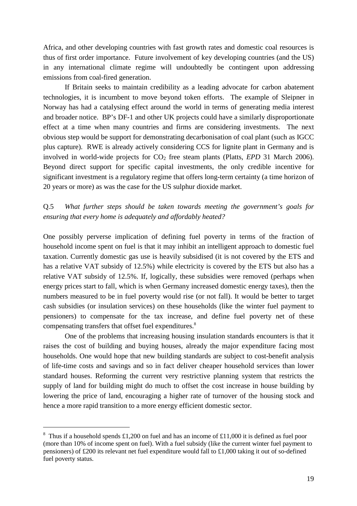Africa, and other developing countries with fast growth rates and domestic coal resources is thus of first order importance. Future involvement of key developing countries (and the US) in any international climate regime will undoubtedly be contingent upon addressing emissions from coal-fired generation.

If Britain seeks to maintain credibility as a leading advocate for carbon abatement technologies, it is incumbent to move beyond token efforts. The example of Sleipner in Norway has had a catalysing effect around the world in terms of generating media interest and broader notice. BP's DF-1 and other UK projects could have a similarly disproportionate effect at a time when many countries and firms are considering investments. The next obvious step would be support for demonstrating decarbonisation of coal plant (such as IGCC plus capture). RWE is already actively considering CCS for lignite plant in Germany and is involved in world-wide projects for  $CO<sub>2</sub>$  free steam plants (Platts, *EPD* 31 March 2006). Beyond direct support for specific capital investments, the only credible incentive for significant investment is a regulatory regime that offers long-term certainty (a time horizon of 20 years or more) as was the case for the US sulphur dioxide market.

# Q.5 *What further steps should be taken towards meeting the government's goals for ensuring that every home is adequately and affordably heated?*

One possibly perverse implication of defining fuel poverty in terms of the fraction of household income spent on fuel is that it may inhibit an intelligent approach to domestic fuel taxation. Currently domestic gas use is heavily subsidised (it is not covered by the ETS and has a relative VAT subsidy of 12.5%) while electricity is covered by the ETS but also has a relative VAT subsidy of 12.5%. If, logically, these subsidies were removed (perhaps when energy prices start to fall, which is when Germany increased domestic energy taxes), then the numbers measured to be in fuel poverty would rise (or not fall). It would be better to target cash subsidies (or insulation services) on these households (like the winter fuel payment to pensioners) to compensate for the tax increase, and define fuel poverty net of these compensating transfers that offset fuel expenditures.<sup>8</sup>

One of the problems that increasing housing insulation standards encounters is that it raises the cost of building and buying houses, already the major expenditure facing most households. One would hope that new building standards are subject to cost-benefit analysis of life-time costs and savings and so in fact deliver cheaper household services than lower standard houses. Reforming the current very restrictive planning system that restricts the supply of land for building might do much to offset the cost increase in house building by lowering the price of land, encouraging a higher rate of turnover of the housing stock and hence a more rapid transition to a more energy efficient domestic sector.

<sup>&</sup>lt;sup>8</sup> Thus if a household spends £1,200 on fuel and has an income of £11,000 it is defined as fuel poor (more than 10% of income spent on fuel). With a fuel subsidy (like the current winter fuel payment to pensioners) of £200 its relevant net fuel expenditure would fall to £1,000 taking it out of so-defined fuel poverty status.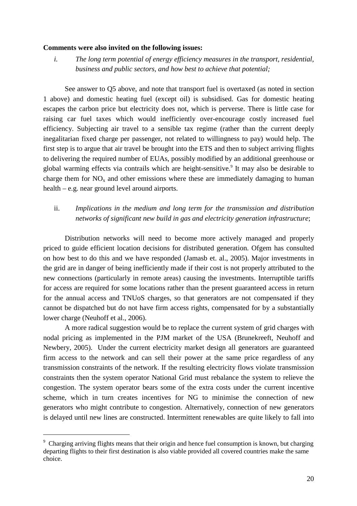#### **Comments were also invited on the following issues:**

*i. The long term potential of energy efficiency measures in the transport, residential, business and public sectors, and how best to achieve that potential;*

See answer to Q5 above, and note that transport fuel is overtaxed (as noted in section 1 above) and domestic heating fuel (except oil) is subsidised. Gas for domestic heating escapes the carbon price but electricity does not, which is perverse. There is little case for raising car fuel taxes which would inefficiently over-encourage costly increased fuel efficiency. Subjecting air travel to a sensible tax regime (rather than the current deeply inegalitarian fixed charge per passenger, not related to willingness to pay) would help. The first step is to argue that air travel be brought into the ETS and then to subject arriving flights to delivering the required number of EUAs, possibly modified by an additional greenhouse or global warming effects via contrails which are height-sensitive.<sup>9</sup> It may also be desirable to charge them for  $NO<sub>x</sub>$  and other emissions where these are immediately damaging to human health – e.g. near ground level around airports.

# ii. *Implications in the medium and long term for the transmission and distribution networks of significant new build in gas and electricity generation infrastructure*;

Distribution networks will need to become more actively managed and properly priced to guide efficient location decisions for distributed generation. Ofgem has consulted on how best to do this and we have responded (Jamasb et. al., 2005). Major investments in the grid are in danger of being inefficiently made if their cost is not properly attributed to the new connections (particularly in remote areas) causing the investments. Interruptible tariffs for access are required for some locations rather than the present guaranteed access in return for the annual access and TNUoS charges, so that generators are not compensated if they cannot be dispatched but do not have firm access rights, compensated for by a substantially lower charge (Neuhoff et al., 2006).

A more radical suggestion would be to replace the current system of grid charges with nodal pricing as implemented in the PJM market of the USA (Brunekreeft, Neuhoff and Newbery, 2005). Under the current electricity market design all generators are guaranteed firm access to the network and can sell their power at the same price regardless of any transmission constraints of the network. If the resulting electricity flows violate transmission constraints then the system operator National Grid must rebalance the system to relieve the congestion. The system operator bears some of the extra costs under the current incentive scheme, which in turn creates incentives for NG to minimise the connection of new generators who might contribute to congestion. Alternatively, connection of new generators is delayed until new lines are constructed. Intermittent renewables are quite likely to fall into

<sup>&</sup>lt;sup>9</sup> Charging arriving flights means that their origin and hence fuel consumption is known, but charging departing flights to their first destination is also viable provided all covered countries make the same choice.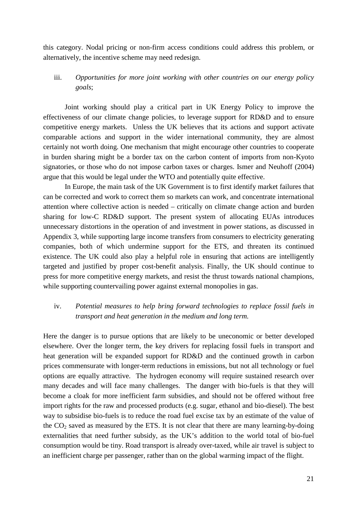this category. Nodal pricing or non-firm access conditions could address this problem, or alternatively, the incentive scheme may need redesign.

iii. *Opportunities for more joint working with other countries on our energy policy goals*;

Joint working should play a critical part in UK Energy Policy to improve the effectiveness of our climate change policies, to leverage support for RD&D and to ensure competitive energy markets. Unless the UK believes that its actions and support activate comparable actions and support in the wider international community, they are almost certainly not worth doing. One mechanism that might encourage other countries to cooperate in burden sharing might be a border tax on the carbon content of imports from non-Kyoto signatories, or those who do not impose carbon taxes or charges. Ismer and Neuhoff (2004) argue that this would be legal under the WTO and potentially quite effective.

In Europe, the main task of the UK Government is to first identify market failures that can be corrected and work to correct them so markets can work, and concentrate international attention where collective action is needed – critically on climate change action and burden sharing for low-C RD&D support. The present system of allocating EUAs introduces unnecessary distortions in the operation of and investment in power stations, as discussed in Appendix 3, while supporting large income transfers from consumers to electricity generating companies, both of which undermine support for the ETS, and threaten its continued existence. The UK could also play a helpful role in ensuring that actions are intelligently targeted and justified by proper cost-benefit analysis. Finally, the UK should continue to press for more competitive energy markets, and resist the thrust towards national champions, while supporting countervailing power against external monopolies in gas.

# iv. *Potential measures to help bring forward technologies to replace fossil fuels in transport and heat generation in the medium and long term.*

Here the danger is to pursue options that are likely to be uneconomic or better developed elsewhere. Over the longer term, the key drivers for replacing fossil fuels in transport and heat generation will be expanded support for RD&D and the continued growth in carbon prices commensurate with longer-term reductions in emissions, but not all technology or fuel options are equally attractive. The hydrogen economy will require sustained research over many decades and will face many challenges. The danger with bio-fuels is that they will become a cloak for more inefficient farm subsidies, and should not be offered without free import rights for the raw and processed products (e.g. sugar, ethanol and bio-diesel). The best way to subsidise bio-fuels is to reduce the road fuel excise tax by an estimate of the value of the  $CO<sub>2</sub>$  saved as measured by the ETS. It is not clear that there are many learning-by-doing externalities that need further subsidy, as the UK's addition to the world total of bio-fuel consumption would be tiny. Road transport is already over-taxed, while air travel is subject to an inefficient charge per passenger, rather than on the global warming impact of the flight.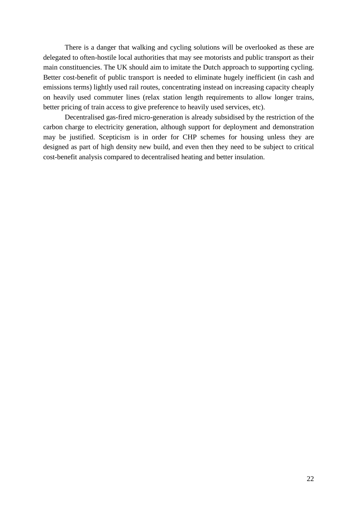There is a danger that walking and cycling solutions will be overlooked as these are delegated to often-hostile local authorities that may see motorists and public transport as their main constituencies. The UK should aim to imitate the Dutch approach to supporting cycling. Better cost-benefit of public transport is needed to eliminate hugely inefficient (in cash and emissions terms) lightly used rail routes, concentrating instead on increasing capacity cheaply on heavily used commuter lines (relax station length requirements to allow longer trains, better pricing of train access to give preference to heavily used services, etc).

Decentralised gas-fired micro-generation is already subsidised by the restriction of the carbon charge to electricity generation, although support for deployment and demonstration may be justified. Scepticism is in order for CHP schemes for housing unless they are designed as part of high density new build, and even then they need to be subject to critical cost-benefit analysis compared to decentralised heating and better insulation.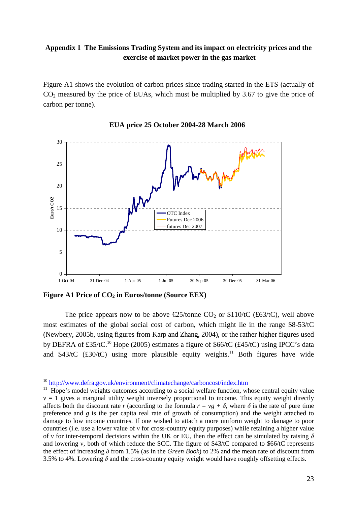# **Appendix 1 The Emissions Trading System and its impact on electricity prices and the exercise of market power in the gas market**

Figure A1 shows the evolution of carbon prices since trading started in the ETS (actually of  $CO<sub>2</sub>$  measured by the price of EUAs, which must be multiplied by 3.67 to give the price of carbon per tonne).



## **EUA price 25 October 2004-28 March 2006**

**Figure A1 Price of CO2 in Euros/tonne (Source EEX)**

 $\overline{a}$ 

The price appears now to be above  $\epsilon$ 25/tonne CQ or \$110/tC (£63/tC), well above most estimates of the global social cost of carbon, which might lie in the range \$8-53/tC (Newbery, 2005b, using figures from Karp and Zhang, 2004), or the rather higher figures used by DEFRA of £35/tC.<sup>10</sup> Hope (2005) estimates a figure of \$66/tC (£45/tC) using IPCC's data and  $$43/tC$  (£30/tC) using more plausible equity weights.<sup>11</sup> Both figures have wide

<sup>10</sup> http://www.defra.gov.uk/environment/climatechange/carboncost/index.htm

<sup>11</sup> Hope's model weights outcomes according to a social welfare function, whose central equity value  $v = 1$  gives a marginal utility weight inversely proportional to income. This equity weight directly affects both the discount rate *r* (according to the formula  $r = vg + \delta$ , where  $\delta$  is the rate of pure time preference and *g* is the per capita real rate of growth of consumption) and the weight attached to damage to low income countries. If one wished to attach a more uniform weight to damage to poor countries (i.e. use a lower value of ν for cross-country equity purposes) while retaining a higher value of v for inter-temporal decisions within the UK or EU, then the effect can be simulated by raising  $\delta$ and lowering ν, both of which reduce the SCC. The figure of \$43/tC compared to \$66/tC represents the effect of increasing δ from 1.5% (as in the *Green Book*) to 2% and the mean rate of discount from 3.5% to 4%. Lowering  $\delta$  and the cross-country equity weight would have roughly offsetting effects.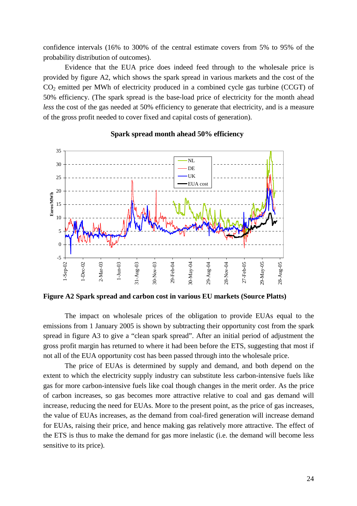confidence intervals (16% to 300% of the central estimate covers from 5% to 95% of the probability distribution of outcomes).

Evidence that the EUA price does indeed feed through to the wholesale price is provided by figure A2, which shows the spark spread in various markets and the cost of the  $CO<sub>2</sub>$  emitted per MWh of electricity produced in a combined cycle gas turbine (CCGT) of 50% efficiency. (The spark spread is the base-load price of electricity for the month ahead *less* the cost of the gas needed at 50% efficiency to generate that electricity, and is a measure of the gross profit needed to cover fixed and capital costs of generation).



### **Spark spread month ahead 50% efficiency**

**Figure A2 Spark spread and carbon cost in various EU markets (Source Platts)**

The impact on wholesale prices of the obligation to provide EUAs equal to the emissions from 1 January 2005 is shown by subtracting their opportunity cost from the spark spread in figure A3 to give a "clean spark spread". After an initial period of adjustment the gross profit margin has returned to where it had been before the ETS, suggesting that most if not all of the EUA opportunity cost has been passed through into the wholesale price.

The price of EUAs is determined by supply and demand, and both depend on the extent to which the electricity supply industry can substitute less carbon-intensive fuels like gas for more carbon-intensive fuels like coal though changes in the merit order. As the price of carbon increases, so gas becomes more attractive relative to coal and gas demand will increase, reducing the need for EUAs. More to the present point, as the price of gas increases, the value of EUAs increases, as the demand from coal-fired generation will increase demand for EUAs, raising their price, and hence making gas relatively more attractive. The effect of the ETS is thus to make the demand for gas more inelastic (i.e. the demand will become less sensitive to its price).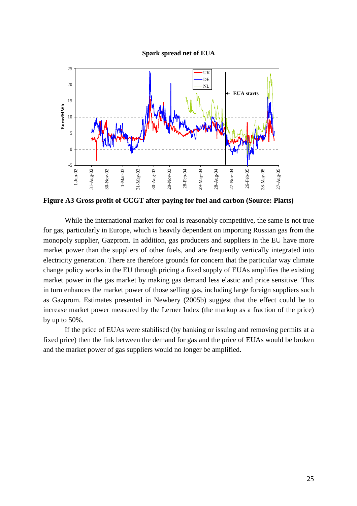**Spark spread net of EUA**



**Figure A3 Gross profit of CCGT after paying for fuel and carbon (Source: Platts)**

While the international market for coal is reasonably competitive, the same is not true for gas, particularly in Europe, which is heavily dependent on importing Russian gas from the monopoly supplier, Gazprom. In addition, gas producers and suppliers in the EU have more market power than the suppliers of other fuels, and are frequently vertically integrated into electricity generation. There are therefore grounds for concern that the particular way climate change policy works in the EU through pricing a fixed supply of EUAs amplifies the existing market power in the gas market by making gas demand less elastic and price sensitive. This in turn enhances the market power of those selling gas, including large foreign suppliers such as Gazprom. Estimates presented in Newbery (2005b) suggest that the effect could be to increase market power measured by the Lerner Index (the markup as a fraction of the price) by up to 50%.

If the price of EUAs were stabilised (by banking or issuing and removing permits at a fixed price) then the link between the demand for gas and the price of EUAs would be broken and the market power of gas suppliers would no longer be amplified.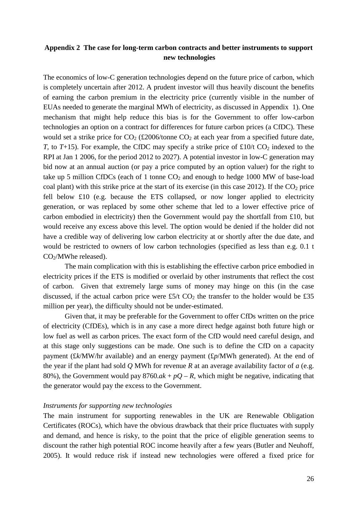# **Appendix 2 The case for long-term carbon contracts and better instruments to support new technologies**

The economics of low-C generation technologies depend on the future price of carbon, which is completely uncertain after 2012. A prudent investor will thus heavily discount the benefits of earning the carbon premium in the electricity price (currently visible in the number of EUAs needed to generate the marginal MWh of electricity, as discussed in Appendix 1). One mechanism that might help reduce this bias is for the Government to offer low-carbon technologies an option on a contract for differences for future carbon prices (a CfDC). These would set a strike price for  $CO_2$  (£2006/tonne  $CO_2$  at each year from a specified future date, *T*, to *T*+15). For example, the CfDC may specify a strike price of £10/t  $CO_2$  indexed to the RPI at Jan 1 2006, for the period 2012 to 2027). A potential investor in low-C generation may bid now at an annual auction (or pay a price computed by an option valuer) for the right to take up 5 million CfDCs (each of 1 tonne  $CO<sub>2</sub>$  and enough to hedge 1000 MW of base-load coal plant) with this strike price at the start of its exercise (in this case 2012). If the  $CO<sub>2</sub>$  price fell below £10 (e.g. because the ETS collapsed, or now longer applied to electricity generation, or was replaced by some other scheme that led to a lower effective price of carbon embodied in electricity) then the Government would pay the shortfall from £10, but would receive any excess above this level. The option would be denied if the holder did not have a credible way of delivering low carbon electricity at or shortly after the due date, and would be restricted to owners of low carbon technologies (specified as less than e.g. 0.1 t CO2/MWhe released).

The main complication with this is establishing the effective carbon price embodied in electricity prices if the ETS is modified or overlaid by other instruments that reflect the cost of carbon. Given that extremely large sums of money may hinge on this (in the case discussed, if the actual carbon price were £5/t  $CO<sub>2</sub>$  the transfer to the holder would be £35 million per year), the difficulty should not be under-estimated.

Given that, it may be preferable for the Government to offer CfDs written on the price of electricity (CfDEs), which is in any case a more direct hedge against both future high or low fuel as well as carbon prices. The exact form of the CfD would need careful design, and at this stage only suggestions can be made. One such is to define the CfD on a capacity payment (£*k*/MW/hr available) and an energy payment (£*p*/MWh generated). At the end of the year if the plant had sold *Q* MWh for revenue *R* at an average availability factor of *a* (e.g. 80%), the Government would pay  $8760.ak + pQ - R$ , which might be negative, indicating that the generator would pay the excess to the Government.

### *Instruments for supporting new technologies*

The main instrument for supporting renewables in the UK are Renewable Obligation Certificates (ROCs), which have the obvious drawback that their price fluctuates with supply and demand, and hence is risky, to the point that the price of eligible generation seems to discount the rather high potential ROC income heavily after a few years (Butler and Neuhoff, 2005). It would reduce risk if instead new technologies were offered a fixed price for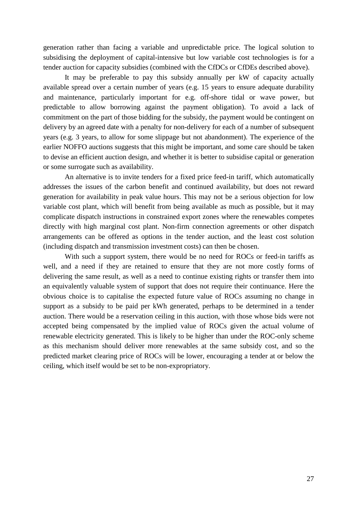generation rather than facing a variable and unpredictable price. The logical solution to subsidising the deployment of capital-intensive but low variable cost technologies is for a tender auction for capacity subsidies (combined with the CfDCs or CfDEs described above).

It may be preferable to pay this subsidy annually per kW of capacity actually available spread over a certain number of years (e.g. 15 years to ensure adequate durability and maintenance, particularly important for e.g. off-shore tidal or wave power, but predictable to allow borrowing against the payment obligation). To avoid a lack of commitment on the part of those bidding for the subsidy, the payment would be contingent on delivery by an agreed date with a penalty for non-delivery for each of a number of subsequent years (e.g. 3 years, to allow for some slippage but not abandonment). The experience of the earlier NOFFO auctions suggests that this might be important, and some care should be taken to devise an efficient auction design, and whether it is better to subsidise capital or generation or some surrogate such as availability.

An alternative is to invite tenders for a fixed price feed-in tariff, which automatically addresses the issues of the carbon benefit and continued availability, but does not reward generation for availability in peak value hours. This may not be a serious objection for low variable cost plant, which will benefit from being available as much as possible, but it may complicate dispatch instructions in constrained export zones where the renewables competes directly with high marginal cost plant. Non-firm connection agreements or other dispatch arrangements can be offered as options in the tender auction, and the least cost solution (including dispatch and transmission investment costs) can then be chosen.

With such a support system, there would be no need for ROCs or feed-in tariffs as well, and a need if they are retained to ensure that they are not more costly forms of delivering the same result, as well as a need to continue existing rights or transfer them into an equivalently valuable system of support that does not require their continuance. Here the obvious choice is to capitalise the expected future value of ROCs assuming no change in support as a subsidy to be paid per kWh generated, perhaps to be determined in a tender auction. There would be a reservation ceiling in this auction, with those whose bids were not accepted being compensated by the implied value of ROCs given the actual volume of renewable electricity generated. This is likely to be higher than under the ROC-only scheme as this mechanism should deliver more renewables at the same subsidy cost, and so the predicted market clearing price of ROCs will be lower, encouraging a tender at or below the ceiling, which itself would be set to be non-expropriatory.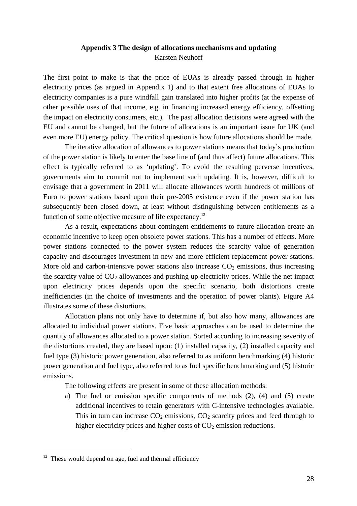# **Appendix 3 The design of allocations mechanisms and updating** Karsten Neuhoff

The first point to make is that the price of EUAs is already passed through in higher electricity prices (as argued in Appendix 1) and to that extent free allocations of EUAs to electricity companies is a pure windfall gain translated into higher profits (at the expense of other possible uses of that income, e.g. in financing increased energy efficiency, offsetting the impact on electricity consumers, etc.). The past allocation decisions were agreed with the EU and cannot be changed, but the future of allocations is an important issue for UK (and even more EU) energy policy. The critical question is how future allocations should be made.

The iterative allocation of allowances to power stations means that today's production of the power station is likely to enter the base line of (and thus affect) future allocations. This effect is typically referred to as 'updating'. To avoid the resulting perverse incentives, governments aim to commit not to implement such updating. It is, however, difficult to envisage that a government in 2011 will allocate allowances worth hundreds of millions of Euro to power stations based upon their pre-2005 existence even if the power station has subsequently been closed down, at least without distinguishing between entitlements as a function of some objective measure of life expectancy.<sup>12</sup>

As a result, expectations about contingent entitlements to future allocation create an economic incentive to keep open obsolete power stations. This has a number of effects. More power stations connected to the power system reduces the scarcity value of generation capacity and discourages investment in new and more efficient replacement power stations. More old and carbon-intensive power stations also increase  $CO<sub>2</sub>$  emissions, thus increasing the scarcity value of  $CO<sub>2</sub>$  allowances and pushing up electricity prices. While the net impact upon electricity prices depends upon the specific scenario, both distortions create inefficiencies (in the choice of investments and the operation of power plants). Figure A4 illustrates some of these distortions.

Allocation plans not only have to determine if, but also how many, allowances are allocated to individual power stations. Five basic approaches can be used to determine the quantity of allowances allocated to a power station. Sorted according to increasing severity of the distortions created, they are based upon: (1) installed capacity, (2) installed capacity and fuel type (3) historic power generation, also referred to as uniform benchmarking (4) historic power generation and fuel type, also referred to as fuel specific benchmarking and (5) historic emissions.

The following effects are present in some of these allocation methods:

a) The fuel or emission specific components of methods (2), (4) and (5) create additional incentives to retain generators with C-intensive technologies available. This in turn can increase  $CO_2$  emissions,  $CO_2$  scarcity prices and feed through to higher electricity prices and higher costs of  $CO<sub>2</sub>$  emission reductions.

 $12$  These would depend on age, fuel and thermal efficiency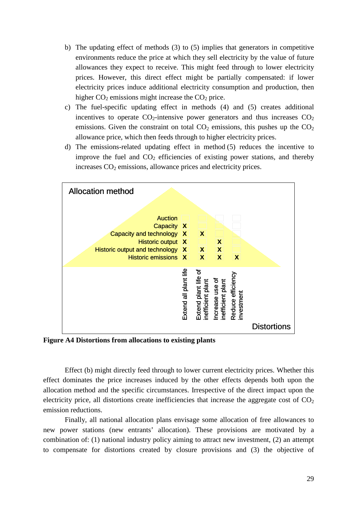- b) The updating effect of methods (3) to (5) implies that generators in competitive environments reduce the price at which they sell electricity by the value of future allowances they expect to receive. This might feed through to lower electricity prices. However, this direct effect might be partially compensated: if lower electricity prices induce additional electricity consumption and production, then higher  $CO<sub>2</sub>$  emissions might increase the  $CO<sub>2</sub>$  price.
- c) The fuel-specific updating effect in methods (4) and (5) creates additional incentives to operate  $CO_2$ -intensive power generators and thus increases  $CO_2$ emissions. Given the constraint on total  $CO<sub>2</sub>$  emissions, this pushes up the  $CO<sub>2</sub>$ allowance price, which then feeds through to higher electricity prices.
- d) The emissions-related updating effect in method (5) reduces the incentive to improve the fuel and  $CO<sub>2</sub>$  efficiencies of existing power stations, and thereby increases  $CO<sub>2</sub>$  emissions, allowance prices and electricity prices.



**Figure A4 Distortions from allocations to existing plants**

Effect (b) might directly feed through to lower current electricity prices. Whether this effect dominates the price increases induced by the other effects depends both upon the allocation method and the specific circumstances. Irrespective of the direct impact upon the electricity price, all distortions create inefficiencies that increase the aggregate cost of  $CO<sub>2</sub>$ emission reductions.

Finally, all national allocation plans envisage some allocation of free allowances to new power stations (new entrants' allocation). These provisions are motivated by a combination of: (1) national industry policy aiming to attract new investment, (2) an attempt to compensate for distortions created by closure provisions and (3) the objective of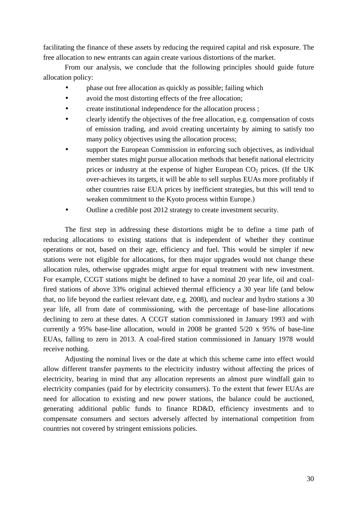facilitating the finance of these assets by reducing the required capital and risk exposure. The free allocation to new entrants can again create various distortions of the market.

From our analysis, we conclude that the following principles should guide future allocation policy:

- phase out free allocation as quickly as possible; failing which
- avoid the most distorting effects of the free allocation:
- create institutional independence for the allocation process ;
- clearly identify the objectives of the free allocation, e.g. compensation of costs of emission trading, and avoid creating uncertainty by aiming to satisfy too many policy objectives using the allocation process;
- support the European Commission in enforcing such objectives, as individual member states might pursue allocation methods that benefit national electricity prices or industry at the expense of higher European  $CO<sub>2</sub>$  prices. (If the UK over-achieves its targets, it will be able to sell surplus EUAs more profitably if other countries raise EUA prices by inefficient strategies, but this will tend to weaken commitment to the Kyoto process within Europe.)
- Outline a credible post 2012 strategy to create investment security.

The first step in addressing these distortions might be to define a time path of reducing allocations to existing stations that is independent of whether they continue operations or not, based on their age, efficiency and fuel. This would be simpler if new stations were not eligible for allocations, for then major upgrades would not change these allocation rules, otherwise upgrades might argue for equal treatment with new investment. For example, CCGT stations might be defined to have a nominal 20 year life, oil and coalfired stations of above 33% original achieved thermal efficiency a 30 year life (and below that, no life beyond the earliest relevant date, e.g. 2008), and nuclear and hydro stations a 30 year life, all from date of commissioning, with the percentage of base-line allocations declining to zero at these dates. A CCGT station commissioned in January 1993 and with currently a 95% base-line allocation, would in 2008 be granted 5/20 x 95% of base-line EUAs, falling to zero in 2013. A coal-fired station commissioned in January 1978 would receive nothing.

Adjusting the nominal lives or the date at which this scheme came into effect would allow different transfer payments to the electricity industry without affecting the prices of electricity, bearing in mind that any allocation represents an almost pure windfall gain to electricity companies (paid for by electricity consumers). To the extent that fewer EUAs are need for allocation to existing and new power stations, the balance could be auctioned, generating additional public funds to finance RD&D, efficiency investments and to compensate consumers and sectors adversely affected by international competition from countries not covered by stringent emissions policies.